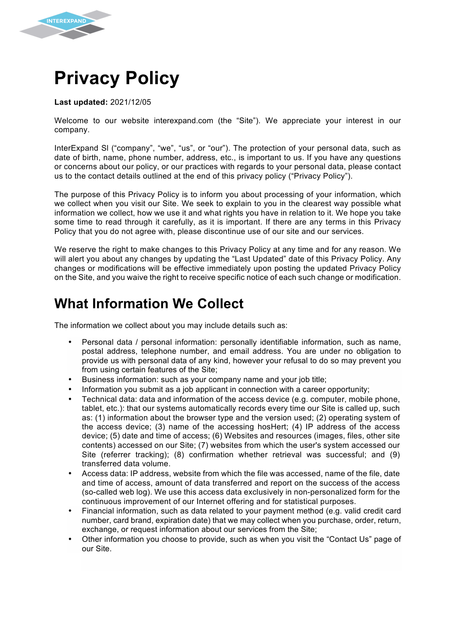

**Last updated:** 2021/12/05

**INTEREXPAND** 

Welcome to our website interexpand.com (the "Site"). We appreciate your interest in our company.

InterExpand Sl ("company", "we", "us", or "our"). The protection of your personal data, such as date of birth, name, phone number, address, etc., is important to us. If you have any questions or concerns about our policy, or our practices with regards to your personal data, please contact us to the contact details outlined at the end of this privacy policy ("Privacy Policy").

The purpose of this Privacy Policy is to inform you about processing of your information, which we collect when you visit our Site. We seek to explain to you in the clearest way possible what information we collect, how we use it and what rights you have in relation to it. We hope you take some time to read through it carefully, as it is important. If there are any terms in this Privacy Policy that you do not agree with, please discontinue use of our site and our services.

We reserve the right to make changes to this Privacy Policy at any time and for any reason. We will alert you about any changes by updating the "Last Updated" date of this Privacy Policy. Any changes or modifications will be effective immediately upon posting the updated Privacy Policy on the Site, and you waive the right to receive specific notice of each such change or modification.

## **What Information We Collect**

The information we collect about you may include details such as:

- Personal data / personal information: personally identifiable information, such as name, postal address, telephone number, and email address. You are under no obligation to provide us with personal data of any kind, however your refusal to do so may prevent you from using certain features of the Site;
- Business information: such as your company name and your job title;
- Information you submit as a job applicant in connection with a career opportunity;
- Technical data: data and information of the access device (e.g. computer, mobile phone, tablet, etc.): that our systems automatically records every time our Site is called up, such as: (1) information about the browser type and the version used; (2) operating system of the access device; (3) name of the accessing hosHert; (4) IP address of the access device; (5) date and time of access; (6) Websites and resources (images, files, other site contents) accessed on our Site; (7) websites from which the user's system accessed our Site (referrer tracking); (8) confirmation whether retrieval was successful; and (9) transferred data volume.
- Access data: IP address, website from which the file was accessed, name of the file, date and time of access, amount of data transferred and report on the success of the access (so-called web log). We use this access data exclusively in non-personalized form for the continuous improvement of our Internet offering and for statistical purposes.
- Financial information, such as data related to your payment method (e.g. valid credit card number, card brand, expiration date) that we may collect when you purchase, order, return, exchange, or request information about our services from the Site;
- Other information you choose to provide, such as when you visit the "Contact Us" page of our Site.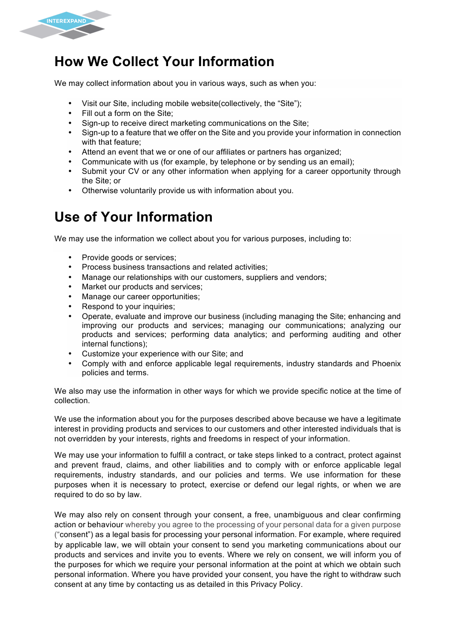

## **How We Collect Your Information**

We may collect information about you in various ways, such as when you:

- Visit our Site, including mobile website(collectively, the "Site");
- Fill out a form on the Site;
- Sign-up to receive direct marketing communications on the Site;
- Sign-up to a feature that we offer on the Site and you provide your information in connection with that feature;
- Attend an event that we or one of our affiliates or partners has organized;
- Communicate with us (for example, by telephone or by sending us an email);
- Submit your CV or any other information when applying for a career opportunity through the Site; or
- Otherwise voluntarily provide us with information about you.

# **Use of Your Information**

We may use the information we collect about you for various purposes, including to:

- Provide goods or services:
- Process business transactions and related activities;
- Manage our relationships with our customers, suppliers and vendors;
- Market our products and services;
- Manage our career opportunities;
- Respond to your inquiries;
- Operate, evaluate and improve our business (including managing the Site; enhancing and improving our products and services; managing our communications; analyzing our products and services; performing data analytics; and performing auditing and other internal functions);
- Customize your experience with our Site; and
- Comply with and enforce applicable legal requirements, industry standards and Phoenix policies and terms.

We also may use the information in other ways for which we provide specific notice at the time of collection.

We use the information about you for the purposes described above because we have a legitimate interest in providing products and services to our customers and other interested individuals that is not overridden by your interests, rights and freedoms in respect of your information.

We may use your information to fulfill a contract, or take steps linked to a contract, protect against and prevent fraud, claims, and other liabilities and to comply with or enforce applicable legal requirements, industry standards, and our policies and terms. We use information for these purposes when it is necessary to protect, exercise or defend our legal rights, or when we are required to do so by law.

We may also rely on consent through your consent, a free, unambiguous and clear confirming action or behaviour whereby you agree to the processing of your personal data for a given purpose ("consent") as a legal basis for processing your personal information. For example, where required by applicable law, we will obtain your consent to send you marketing communications about our products and services and invite you to events. Where we rely on consent, we will inform you of the purposes for which we require your personal information at the point at which we obtain such personal information. Where you have provided your consent, you have the right to withdraw such consent at any time by contacting us as detailed in this Privacy Policy.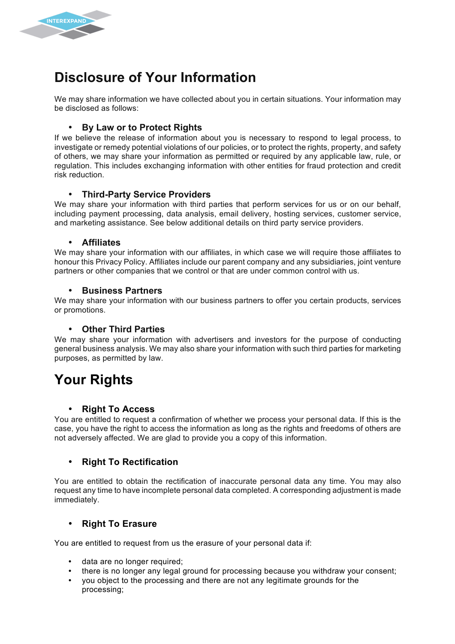

# **Disclosure of Your Information**

We may share information we have collected about you in certain situations. Your information may be disclosed as follows:

### • **By Law or to Protect Rights**

If we believe the release of information about you is necessary to respond to legal process, to investigate or remedy potential violations of our policies, or to protect the rights, property, and safety of others, we may share your information as permitted or required by any applicable law, rule, or regulation. This includes exchanging information with other entities for fraud protection and credit risk reduction.

#### • **Third-Party Service Providers**

We may share your information with third parties that perform services for us or on our behalf, including payment processing, data analysis, email delivery, hosting services, customer service, and marketing assistance. See below additional details on third party service providers.

#### • **Affiliates**

We may share your information with our affiliates, in which case we will require those affiliates to honour this Privacy Policy. Affiliates include our parent company and any subsidiaries, joint venture partners or other companies that we control or that are under common control with us.

#### • **Business Partners**

We may share your information with our business partners to offer you certain products, services or promotions.

#### • **Other Third Parties**

We may share your information with advertisers and investors for the purpose of conducting general business analysis. We may also share your information with such third parties for marketing purposes, as permitted by law.

## **Your Rights**

#### • **Right To Access**

You are entitled to request a confirmation of whether we process your personal data. If this is the case, you have the right to access the information as long as the rights and freedoms of others are not adversely affected. We are glad to provide you a copy of this information.

## • **Right To Rectification**

You are entitled to obtain the rectification of inaccurate personal data any time. You may also request any time to have incomplete personal data completed. A corresponding adjustment is made immediately.

#### • **Right To Erasure**

You are entitled to request from us the erasure of your personal data if:

- data are no longer required;
- there is no longer any legal ground for processing because you withdraw your consent;
- you object to the processing and there are not any legitimate grounds for the processing;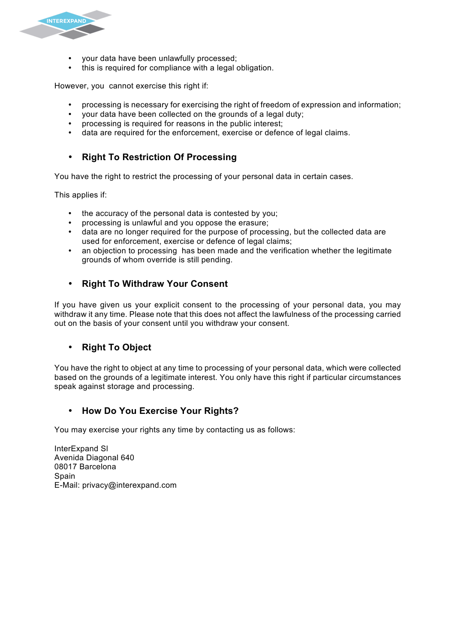

- your data have been unlawfully processed;
- this is required for compliance with a legal obligation.

However, you cannot exercise this right if:

- processing is necessary for exercising the right of freedom of expression and information;
- your data have been collected on the grounds of a legal duty;
- processing is required for reasons in the public interest;
- data are required for the enforcement, exercise or defence of legal claims.

## • **Right To Restriction Of Processing**

You have the right to restrict the processing of your personal data in certain cases.

This applies if:

- the accuracy of the personal data is contested by you;
- processing is unlawful and you oppose the erasure;
- data are no longer required for the purpose of processing, but the collected data are used for enforcement, exercise or defence of legal claims;
- an objection to processing has been made and the verification whether the legitimate grounds of whom override is still pending.

## • **Right To Withdraw Your Consent**

If you have given us your explicit consent to the processing of your personal data, you may withdraw it any time. Please note that this does not affect the lawfulness of the processing carried out on the basis of your consent until you withdraw your consent.

## • **Right To Object**

You have the right to object at any time to processing of your personal data, which were collected based on the grounds of a legitimate interest. You only have this right if particular circumstances speak against storage and processing.

## • **How Do You Exercise Your Rights?**

You may exercise your rights any time by contacting us as follows:

InterExpand Sl Avenida Diagonal 640 08017 Barcelona Spain E-Mail: privacy@interexpand.com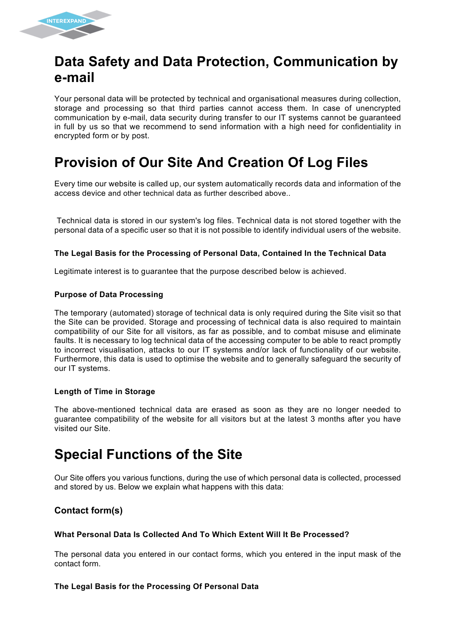

## **Data Safety and Data Protection, Communication by e-mail**

Your personal data will be protected by technical and organisational measures during collection, storage and processing so that third parties cannot access them. In case of unencrypted communication by e-mail, data security during transfer to our IT systems cannot be guaranteed in full by us so that we recommend to send information with a high need for confidentiality in encrypted form or by post.

# **Provision of Our Site And Creation Of Log Files**

Every time our website is called up, our system automatically records data and information of the access device and other technical data as further described above..

Technical data is stored in our system's log files. Technical data is not stored together with the personal data of a specific user so that it is not possible to identify individual users of the website.

#### **The Legal Basis for the Processing of Personal Data, Contained In the Technical Data**

Legitimate interest is to guarantee that the purpose described below is achieved.

#### **Purpose of Data Processing**

The temporary (automated) storage of technical data is only required during the Site visit so that the Site can be provided. Storage and processing of technical data is also required to maintain compatibility of our Site for all visitors, as far as possible, and to combat misuse and eliminate faults. It is necessary to log technical data of the accessing computer to be able to react promptly to incorrect visualisation, attacks to our IT systems and/or lack of functionality of our website. Furthermore, this data is used to optimise the website and to generally safeguard the security of our IT systems.

#### **Length of Time in Storage**

The above-mentioned technical data are erased as soon as they are no longer needed to guarantee compatibility of the website for all visitors but at the latest 3 months after you have visited our Site.

# **Special Functions of the Site**

Our Site offers you various functions, during the use of which personal data is collected, processed and stored by us. Below we explain what happens with this data:

## **Contact form(s)**

#### **What Personal Data Is Collected And To Which Extent Will It Be Processed?**

The personal data you entered in our contact forms, which you entered in the input mask of the contact form.

#### **The Legal Basis for the Processing Of Personal Data**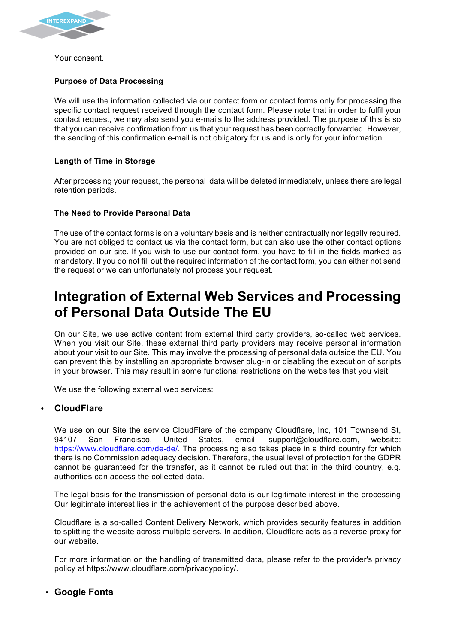

Your consent.

#### **Purpose of Data Processing**

We will use the information collected via our contact form or contact forms only for processing the specific contact request received through the contact form. Please note that in order to fulfil your contact request, we may also send you e-mails to the address provided. The purpose of this is so that you can receive confirmation from us that your request has been correctly forwarded. However, the sending of this confirmation e-mail is not obligatory for us and is only for your information.

#### **Length of Time in Storage**

After processing your request, the personal data will be deleted immediately, unless there are legal retention periods.

#### **The Need to Provide Personal Data**

The use of the contact forms is on a voluntary basis and is neither contractually nor legally required. You are not obliged to contact us via the contact form, but can also use the other contact options provided on our site. If you wish to use our contact form, you have to fill in the fields marked as mandatory. If you do not fill out the required information of the contact form, you can either not send the request or we can unfortunately not process your request.

# **Integration of External Web Services and Processing of Personal Data Outside The EU**

On our Site, we use active content from external third party providers, so-called web services. When you visit our Site, these external third party providers may receive personal information about your visit to our Site. This may involve the processing of personal data outside the EU. You can prevent this by installing an appropriate browser plug-in or disabling the execution of scripts in your browser. This may result in some functional restrictions on the websites that you visit.

We use the following external web services:

#### • **CloudFlare**

We use on our Site the service CloudFlare of the company Cloudflare, Inc, 101 Townsend St, 94107 San Francisco, United States, email: support@cloudflare.com, website: https://www.cloudflare.com/de-de/. The processing also takes place in a third country for which there is no Commission adequacy decision. Therefore, the usual level of protection for the GDPR cannot be guaranteed for the transfer, as it cannot be ruled out that in the third country, e.g. authorities can access the collected data.

The legal basis for the transmission of personal data is our legitimate interest in the processing Our legitimate interest lies in the achievement of the purpose described above.

Cloudflare is a so-called Content Delivery Network, which provides security features in addition to splitting the website across multiple servers. In addition, Cloudflare acts as a reverse proxy for our website.

For more information on the handling of transmitted data, please refer to the provider's privacy policy at https://www.cloudflare.com/privacypolicy/.

#### • **Google Fonts**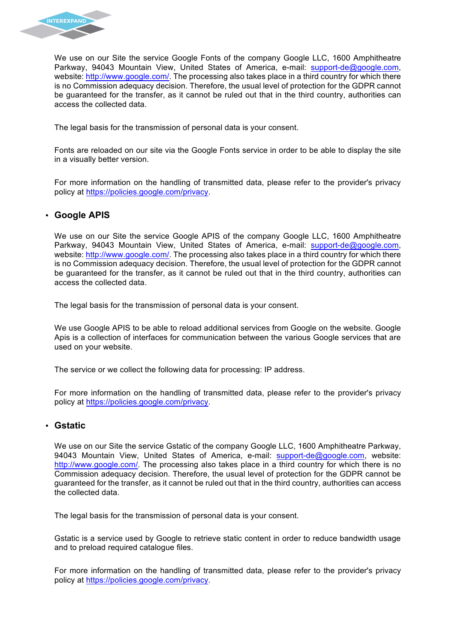

We use on our Site the service Google Fonts of the company Google LLC, 1600 Amphitheatre Parkway, 94043 Mountain View, United States of America, e-mail: support-de@google.com, website: http://www.google.com/. The processing also takes place in a third country for which there is no Commission adequacy decision. Therefore, the usual level of protection for the GDPR cannot be guaranteed for the transfer, as it cannot be ruled out that in the third country, authorities can access the collected data.

The legal basis for the transmission of personal data is your consent.

Fonts are reloaded on our site via the Google Fonts service in order to be able to display the site in a visually better version.

For more information on the handling of transmitted data, please refer to the provider's privacy policy at https://policies.google.com/privacy.

#### • **Google APIS**

We use on our Site the service Google APIS of the company Google LLC, 1600 Amphitheatre Parkway, 94043 Mountain View, United States of America, e-mail: support-de@google.com, website: http://www.google.com/. The processing also takes place in a third country for which there is no Commission adequacy decision. Therefore, the usual level of protection for the GDPR cannot be guaranteed for the transfer, as it cannot be ruled out that in the third country, authorities can access the collected data.

The legal basis for the transmission of personal data is your consent.

We use Google APIS to be able to reload additional services from Google on the website. Google Apis is a collection of interfaces for communication between the various Google services that are used on your website.

The service or we collect the following data for processing: IP address.

For more information on the handling of transmitted data, please refer to the provider's privacy policy at https://policies.google.com/privacy.

#### • **Gstatic**

We use on our Site the service Gstatic of the company Google LLC, 1600 Amphitheatre Parkway, 94043 Mountain View, United States of America, e-mail: support-de@google.com, website: http://www.google.com/. The processing also takes place in a third country for which there is no Commission adequacy decision. Therefore, the usual level of protection for the GDPR cannot be guaranteed for the transfer, as it cannot be ruled out that in the third country, authorities can access the collected data.

The legal basis for the transmission of personal data is your consent.

Gstatic is a service used by Google to retrieve static content in order to reduce bandwidth usage and to preload required catalogue files.

For more information on the handling of transmitted data, please refer to the provider's privacy policy at https://policies.google.com/privacy.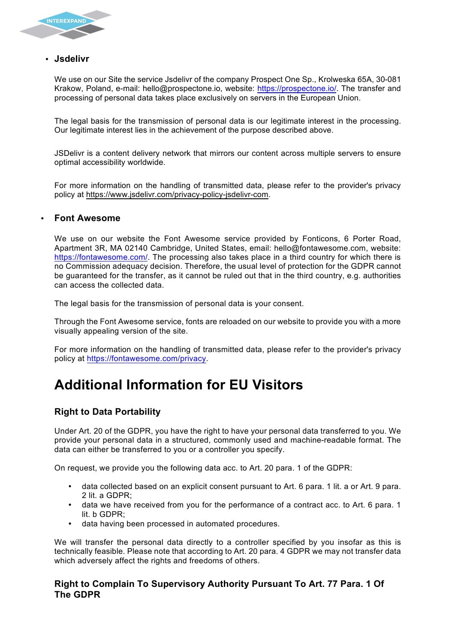

### • **Jsdelivr**

We use on our Site the service Jsdelivr of the company Prospect One Sp., Krolweska 65A, 30-081 Krakow, Poland, e-mail: hello@prospectone.io, website: https://prospectone.io/. The transfer and processing of personal data takes place exclusively on servers in the European Union.

The legal basis for the transmission of personal data is our legitimate interest in the processing. Our legitimate interest lies in the achievement of the purpose described above.

JSDelivr is a content delivery network that mirrors our content across multiple servers to ensure optimal accessibility worldwide.

For more information on the handling of transmitted data, please refer to the provider's privacy policy at https://www.jsdelivr.com/privacy-policy-jsdelivr-com.

## • **Font Awesome**

We use on our website the Font Awesome service provided by Fonticons, 6 Porter Road, Apartment 3R, MA 02140 Cambridge, United States, email: hello@fontawesome.com, website: https://fontawesome.com/. The processing also takes place in a third country for which there is no Commission adequacy decision. Therefore, the usual level of protection for the GDPR cannot be guaranteed for the transfer, as it cannot be ruled out that in the third country, e.g. authorities can access the collected data.

The legal basis for the transmission of personal data is your consent.

Through the Font Awesome service, fonts are reloaded on our website to provide you with a more visually appealing version of the site.

For more information on the handling of transmitted data, please refer to the provider's privacy policy at https://fontawesome.com/privacy.

# **Additional Information for EU Visitors**

## **Right to Data Portability**

Under Art. 20 of the GDPR, you have the right to have your personal data transferred to you. We provide your personal data in a structured, commonly used and machine-readable format. The data can either be transferred to you or a controller you specify.

On request, we provide you the following data acc. to Art. 20 para. 1 of the GDPR:

- data collected based on an explicit consent pursuant to Art. 6 para. 1 lit. a or Art. 9 para. 2 lit. a GDPR;
- data we have received from you for the performance of a contract acc. to Art. 6 para. 1 lit. b GDPR;
- data having been processed in automated procedures.

We will transfer the personal data directly to a controller specified by you insofar as this is technically feasible. Please note that according to Art. 20 para. 4 GDPR we may not transfer data which adversely affect the rights and freedoms of others.

### **Right to Complain To Supervisory Authority Pursuant To Art. 77 Para. 1 Of The GDPR**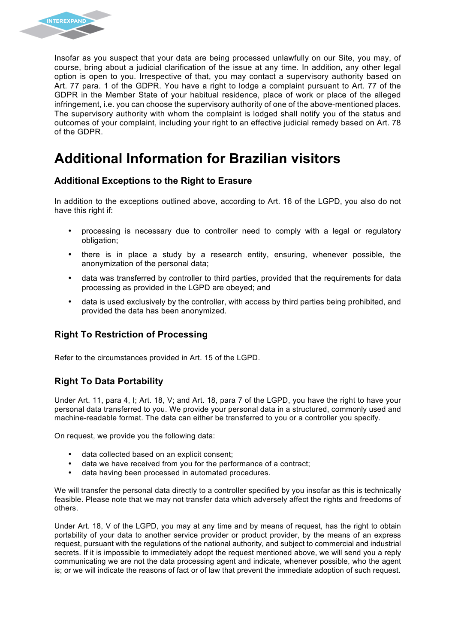

Insofar as you suspect that your data are being processed unlawfully on our Site, you may, of course, bring about a judicial clarification of the issue at any time. In addition, any other legal option is open to you. Irrespective of that, you may contact a supervisory authority based on Art. 77 para. 1 of the GDPR. You have a right to lodge a complaint pursuant to Art. 77 of the GDPR in the Member State of your habitual residence, place of work or place of the alleged infringement, i.e. you can choose the supervisory authority of one of the above-mentioned places. The supervisory authority with whom the complaint is lodged shall notify you of the status and outcomes of your complaint, including your right to an effective judicial remedy based on Art. 78 of the GDPR.

# **Additional Information for Brazilian visitors**

## **Additional Exceptions to the Right to Erasure**

In addition to the exceptions outlined above, according to Art. 16 of the LGPD, you also do not have this right if:

- processing is necessary due to controller need to comply with a legal or regulatory obligation;
- there is in place a study by a research entity, ensuring, whenever possible, the anonymization of the personal data;
- data was transferred by controller to third parties, provided that the requirements for data processing as provided in the LGPD are obeyed; and
- data is used exclusively by the controller, with access by third parties being prohibited, and provided the data has been anonymized.

## **Right To Restriction of Processing**

Refer to the circumstances provided in Art. 15 of the LGPD.

## **Right To Data Portability**

Under Art. 11, para 4, I; Art. 18, V; and Art. 18, para 7 of the LGPD, you have the right to have your personal data transferred to you. We provide your personal data in a structured, commonly used and machine-readable format. The data can either be transferred to you or a controller you specify.

On request, we provide you the following data:

- data collected based on an explicit consent;
- data we have received from you for the performance of a contract;
- data having been processed in automated procedures.

We will transfer the personal data directly to a controller specified by you insofar as this is technically feasible. Please note that we may not transfer data which adversely affect the rights and freedoms of others.

Under Art. 18, V of the LGPD, you may at any time and by means of request, has the right to obtain portability of your data to another service provider or product provider, by the means of an express request, pursuant with the regulations of the national authority, and subject to commercial and industrial secrets. If it is impossible to immediately adopt the request mentioned above, we will send you a reply communicating we are not the data processing agent and indicate, whenever possible, who the agent is; or we will indicate the reasons of fact or of law that prevent the immediate adoption of such request.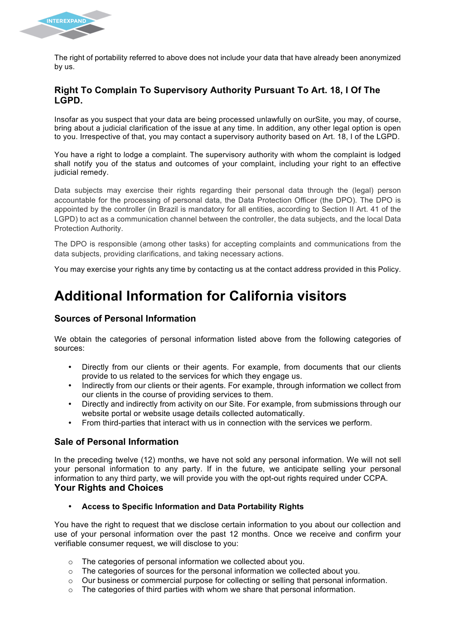

The right of portability referred to above does not include your data that have already been anonymized by us.

#### **Right To Complain To Supervisory Authority Pursuant To Art. 18, I Of The LGPD.**

Insofar as you suspect that your data are being processed unlawfully on ourSite, you may, of course, bring about a judicial clarification of the issue at any time. In addition, any other legal option is open to you. Irrespective of that, you may contact a supervisory authority based on Art. 18, I of the LGPD.

You have a right to lodge a complaint. The supervisory authority with whom the complaint is lodged shall notify you of the status and outcomes of your complaint, including your right to an effective judicial remedy.

Data subjects may exercise their rights regarding their personal data through the (legal) person accountable for the processing of personal data, the Data Protection Officer (the DPO). The DPO is appointed by the controller (in Brazil is mandatory for all entities, according to Section II Art. 41 of the LGPD) to act as a communication channel between the controller, the data subjects, and the local Data Protection Authority.

The DPO is responsible (among other tasks) for accepting complaints and communications from the data subjects, providing clarifications, and taking necessary actions.

You may exercise your rights any time by contacting us at the contact address provided in this Policy.

# **Additional Information for California visitors**

### **Sources of Personal Information**

We obtain the categories of personal information listed above from the following categories of sources:

- Directly from our clients or their agents. For example, from documents that our clients provide to us related to the services for which they engage us.
- Indirectly from our clients or their agents. For example, through information we collect from our clients in the course of providing services to them.
- Directly and indirectly from activity on our Site. For example, from submissions through our website portal or website usage details collected automatically.
- From third-parties that interact with us in connection with the services we perform.

## **Sale of Personal Information**

In the preceding twelve (12) months, we have not sold any personal information. We will not sell your personal information to any party. If in the future, we anticipate selling your personal information to any third party, we will provide you with the opt-out rights required under CCPA. **Your Rights and Choices**

• **Access to Specific Information and Data Portability Rights**

You have the right to request that we disclose certain information to you about our collection and use of your personal information over the past 12 months. Once we receive and confirm your verifiable consumer request, we will disclose to you:

- o The categories of personal information we collected about you.
- o The categories of sources for the personal information we collected about you.
- o Our business or commercial purpose for collecting or selling that personal information.
- o The categories of third parties with whom we share that personal information.